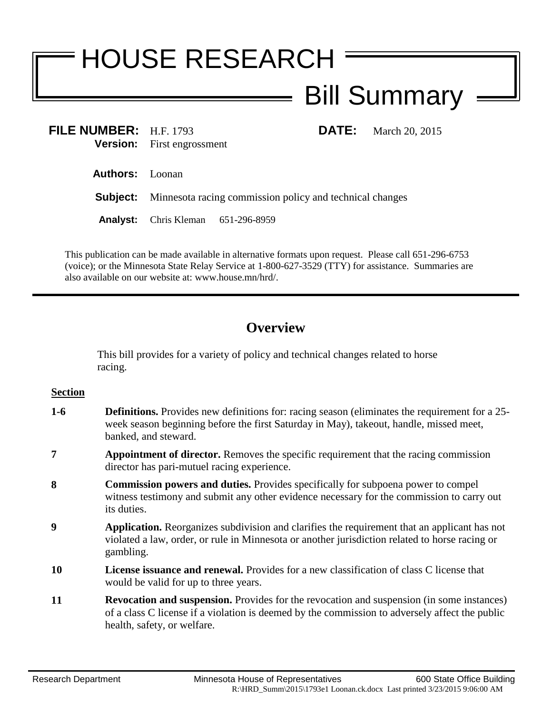# HOUSE RESEARCH Bill Summary

**FILE NUMBER:** H.F. 1793 **DATE:** March 20, 2015 **Version:** First engrossment

**Authors:** Loonan

**Subject:** Minnesota racing commission policy and technical changes

**Analyst:** Chris Kleman 651-296-8959

This publication can be made available in alternative formats upon request. Please call 651-296-6753 (voice); or the Minnesota State Relay Service at 1-800-627-3529 (TTY) for assistance. Summaries are also available on our website at: www.house.mn/hrd/.

# **Overview**

This bill provides for a variety of policy and technical changes related to horse racing.

## **Section**

- **1-6 Definitions.** Provides new definitions for: racing season (eliminates the requirement for a 25 week season beginning before the first Saturday in May), takeout, handle, missed meet, banked, and steward.
- **7 Appointment of director.** Removes the specific requirement that the racing commission director has pari-mutuel racing experience.
- **8 Commission powers and duties.** Provides specifically for subpoena power to compel witness testimony and submit any other evidence necessary for the commission to carry out its duties.
- **9 Application.** Reorganizes subdivision and clarifies the requirement that an applicant has not violated a law, order, or rule in Minnesota or another jurisdiction related to horse racing or gambling.
- **10 License issuance and renewal.** Provides for a new classification of class C license that would be valid for up to three years.
- **11 Revocation and suspension.** Provides for the revocation and suspension (in some instances) of a class C license if a violation is deemed by the commission to adversely affect the public health, safety, or welfare.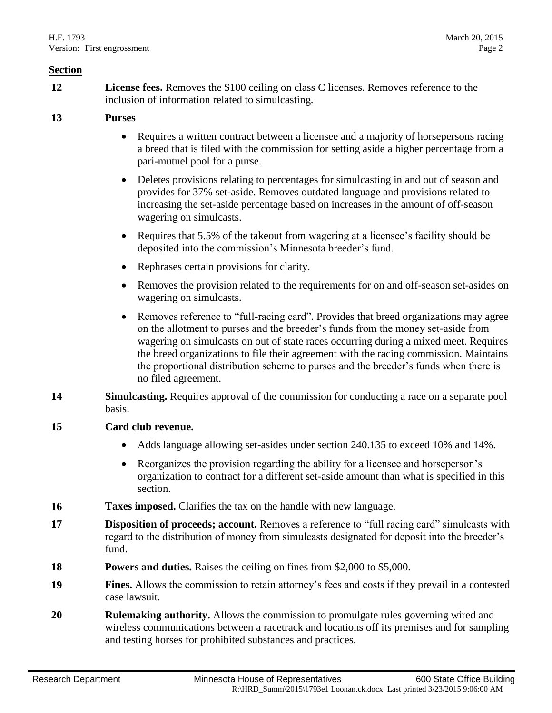#### **Section**

**12 License fees.** Removes the \$100 ceiling on class C licenses. Removes reference to the inclusion of information related to simulcasting.

### **13 Purses**

- Requires a written contract between a licensee and a majority of horsepersons racing a breed that is filed with the commission for setting aside a higher percentage from a pari-mutuel pool for a purse.
- Deletes provisions relating to percentages for simulcasting in and out of season and provides for 37% set-aside. Removes outdated language and provisions related to increasing the set-aside percentage based on increases in the amount of off-season wagering on simulcasts.
- Requires that 5.5% of the takeout from wagering at a licensee's facility should be deposited into the commission's Minnesota breeder's fund.
- Rephrases certain provisions for clarity.
- Removes the provision related to the requirements for on and off-season set-asides on wagering on simulcasts.
- Removes reference to "full-racing card". Provides that breed organizations may agree on the allotment to purses and the breeder's funds from the money set-aside from wagering on simulcasts on out of state races occurring during a mixed meet. Requires the breed organizations to file their agreement with the racing commission. Maintains the proportional distribution scheme to purses and the breeder's funds when there is no filed agreement.
- **14 Simulcasting.** Requires approval of the commission for conducting a race on a separate pool basis.
- **15 Card club revenue.** 
	- Adds language allowing set-asides under section 240.135 to exceed 10% and 14%.
	- Reorganizes the provision regarding the ability for a licensee and horseperson's organization to contract for a different set-aside amount than what is specified in this section.
- **16 Taxes imposed.** Clarifies the tax on the handle with new language.
- **17 Disposition of proceeds; account.** Removes a reference to "full racing card" simulcasts with regard to the distribution of money from simulcasts designated for deposit into the breeder's fund.
- **18 Powers and duties.** Raises the ceiling on fines from \$2,000 to \$5,000.
- **19 Fines.** Allows the commission to retain attorney's fees and costs if they prevail in a contested case lawsuit.
- **20 Rulemaking authority.** Allows the commission to promulgate rules governing wired and wireless communications between a racetrack and locations off its premises and for sampling and testing horses for prohibited substances and practices.